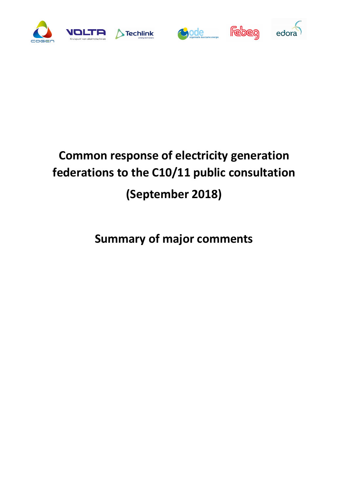









# **Common response of electricity generation federations to the C10/11 public consultation (September 2018)**

## **Summary of major comments**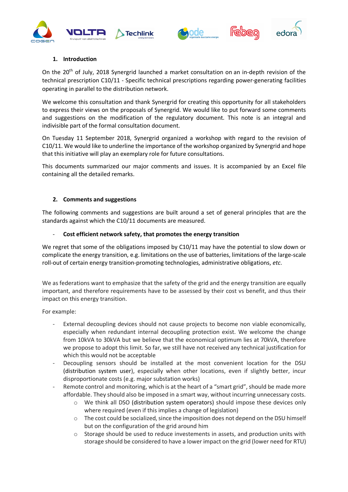





### **1. Introduction**

On the 20<sup>th</sup> of July, 2018 Synergrid launched a market consultation on an in-depth revision of the technical prescription C10/11 - Specific technical prescriptions regarding power-generating facilities operating in parallel to the distribution network.

We welcome this consultation and thank Synergrid for creating this opportunity for all stakeholders to express their views on the proposals of Synergrid. We would like to put forward some comments and suggestions on the modification of the regulatory document. This note is an integral and indivisible part of the formal consultation document.

On Tuesday 11 September 2018, Synergrid organized a workshop with regard to the revision of C10/11. We would like to underline the importance of the workshop organized by Synergrid and hope that this initiative will play an exemplary role for future consultations.

This documents summarized our major comments and issues. It is accompanied by an Excel file containing all the detailed remarks.

### **2. Comments and suggestions**

The following comments and suggestions are built around a set of general principles that are the standards against which the C10/11 documents are measured.

### - **Cost efficient network safety, that promotes the energy transition**

We regret that some of the obligations imposed by C10/11 may have the potential to slow down or complicate the energy transition, e.g. limitations on the use of batteries, limitations of the large-scale roll-out of certain energy transition-promoting technologies, administrative obligations, *etc*.

We as federations want to emphasize that the safety of the grid and the energy transition are equally important, and therefore requirements have to be assessed by their cost vs benefit, and thus their impact on this energy transition.

For example:

- External decoupling devices should not cause projects to become non viable economically, especially when redundant internal decoupling protection exist. We welcome the change from 10kVA to 30kVA but we believe that the economical optimum lies at 70kVA, therefore we propose to adopt this limit. So far, we still have not received any technical justification for which this would not be acceptable
- Decoupling sensors should be installed at the most convenient location for the DSU (distribution system user), especially when other locations, even if slightly better, incur disproportionate costs (e.g. major substation works)
- Remote control and monitoring, which is at the heart of a "smart grid", should be made more affordable. They should also be imposed in a smart way, without incurring unnecessary costs.
	- o We think all DSO (distribution system operators) should impose these devices only where required (even if this implies a change of legislation)
	- o The cost could be socialized, since the imposition does not depend on the DSU himself but on the configuration of the grid around him
	- $\circ$  Storage should be used to reduce investements in assets, and production units with storage should be considered to have a lower impact on the grid (lower need for RTU)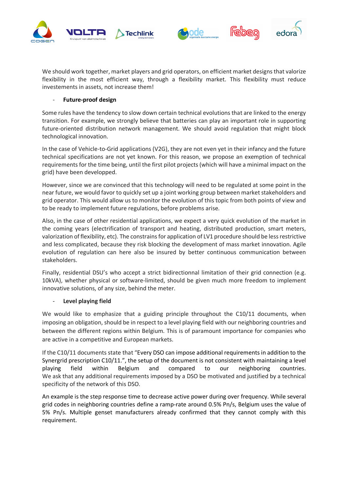





We should work together, market players and grid operators, on efficient market designs that valorize flexibility in the most efficient way, through a flexibility market. This flexibility must reduce investements in assets, not increase them!

### - **Future-proof design**

Some rules have the tendency to slow down certain technical evolutions that are linked to the energy transition. For example, we strongly believe that batteries can play an important role in supporting future-oriented distribution network management. We should avoid regulation that might block technological innovation.

In the case of Vehicle-to-Grid applications (V2G), they are not even yet in their infancy and the future technical specifications are not yet known. For this reason, we propose an exemption of technical requirements for the time being, until the first pilot projects (which will have a minimal impact on the grid) have been developped.

However, since we are convinced that this technology will need to be regulated at some point in the near future, we would favor to quickly set up a joint working group between market stakeholders and grid operator. This would allow us to monitor the evolution of this topic from both points of view and to be ready to implement future regulations, before problems arise.

Also, in the case of other residential applications, we expect a very quick evolution of the market in the coming years (electrification of transport and heating, distributed production, smart meters, valorization of flexibility, etc). The constrains for application of LV1 procedure should be less restrictive and less complicated, because they risk blocking the development of mass market innovation. Agile evolution of regulation can here also be insured by better continuous communication between stakeholders.

Finally, residential DSU's who accept a strict bidirectionnal limitation of their grid connection (e.g. 10kVA), whether physical or software-limited, should be given much more freedom to implement innovative solutions, of any size, behind the meter.

### **Level playing field**

We would like to emphasize that a guiding principle throughout the C10/11 documents, when imposing an obligation, should be in respect to a level playing field with our neighboring countries and between the different regions within Belgium. This is of paramount importance for companies who are active in a competitive and European markets.

If the C10/11 documents state that "Every DSO can impose additional requirements in addition to the Synergrid prescription C10/11.", the setup of the document is not consistent with maintaining a level playing field within Belgium and compared to our neighboring countries. We ask that any additional requirements imposed by a DSO be motivated and justified by a technical specificity of the network of this DSO.

An example is the step response time to decrease active power during over frequency. While several grid codes in neighboring countries define a ramp-rate around 0.5% Pn/s, Belgium uses the value of 5% Pn/s. Multiple genset manufacturers already confirmed that they cannot comply with this requirement.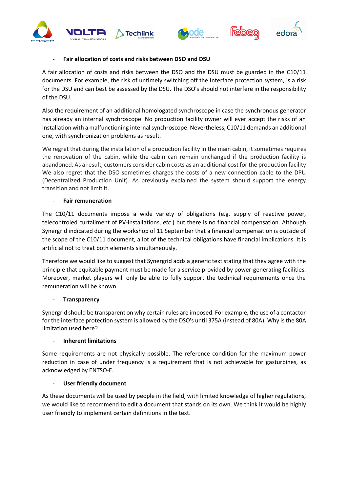





### - **Fair allocation of costs and risks between DSO and DSU**

A fair allocation of costs and risks between the DSO and the DSU must be guarded in the C10/11 documents. For example, the risk of untimely switching off the Interface protection system, is a risk for the DSU and can best be assessed by the DSU. The DSO's should not interfere in the responsibility of the DSU.

Also the requirement of an additional homologated synchroscope in case the synchronous generator has already an internal synchroscope. No production facility owner will ever accept the risks of an installation with a malfunctioning internal synchroscope. Nevertheless, C10/11 demands an additional one, with synchronization problems as result.

We regret that during the installation of a production facility in the main cabin, it sometimes requires the renovation of the cabin, while the cabin can remain unchanged if the production facility is abandoned. As a result, customers consider cabin costs as an additional cost for the production facility We also regret that the DSO sometimes charges the costs of a new connection cable to the DPU (Decentralized Production Unit). As previously explained the system should support the energy transition and not limit it.

### - **Fair remuneration**

The C10/11 documents impose a wide variety of obligations (e.g. supply of reactive power, telecontroled curtailment of PV-installations, *etc*.) but there is no financial compensation. Although Synergrid indicated during the workshop of 11 September that a financial compensation is outside of the scope of the C10/11 document, a lot of the technical obligations have financial implications. It is artificial not to treat both elements simultaneously.

Therefore we would like to suggest that Synergrid adds a generic text stating that they agree with the principle that equitable payment must be made for a service provided by power-generating facilities. Moreover, market players will only be able to fully support the technical requirements once the remuneration will be known.

### - **Transparency**

Synergrid should be transparent on why certain rules are imposed. For example, the use of a contactor for the interface protection system is allowed by the DSO's until 375A (instead of 80A). Why is the 80A limitation used here?

### - **Inherent limitations**

Some requirements are not physically possible. The reference condition for the maximum power reduction in case of under frequency is a requirement that is not achievable for gasturbines, as acknowledged by ENTSO-E.

### **User friendly document**

As these documents will be used by people in the field, with limited knowledge of higher regulations, we would like to recommend to edit a document that stands on its own. We think it would be highly user friendly to implement certain definitions in the text.